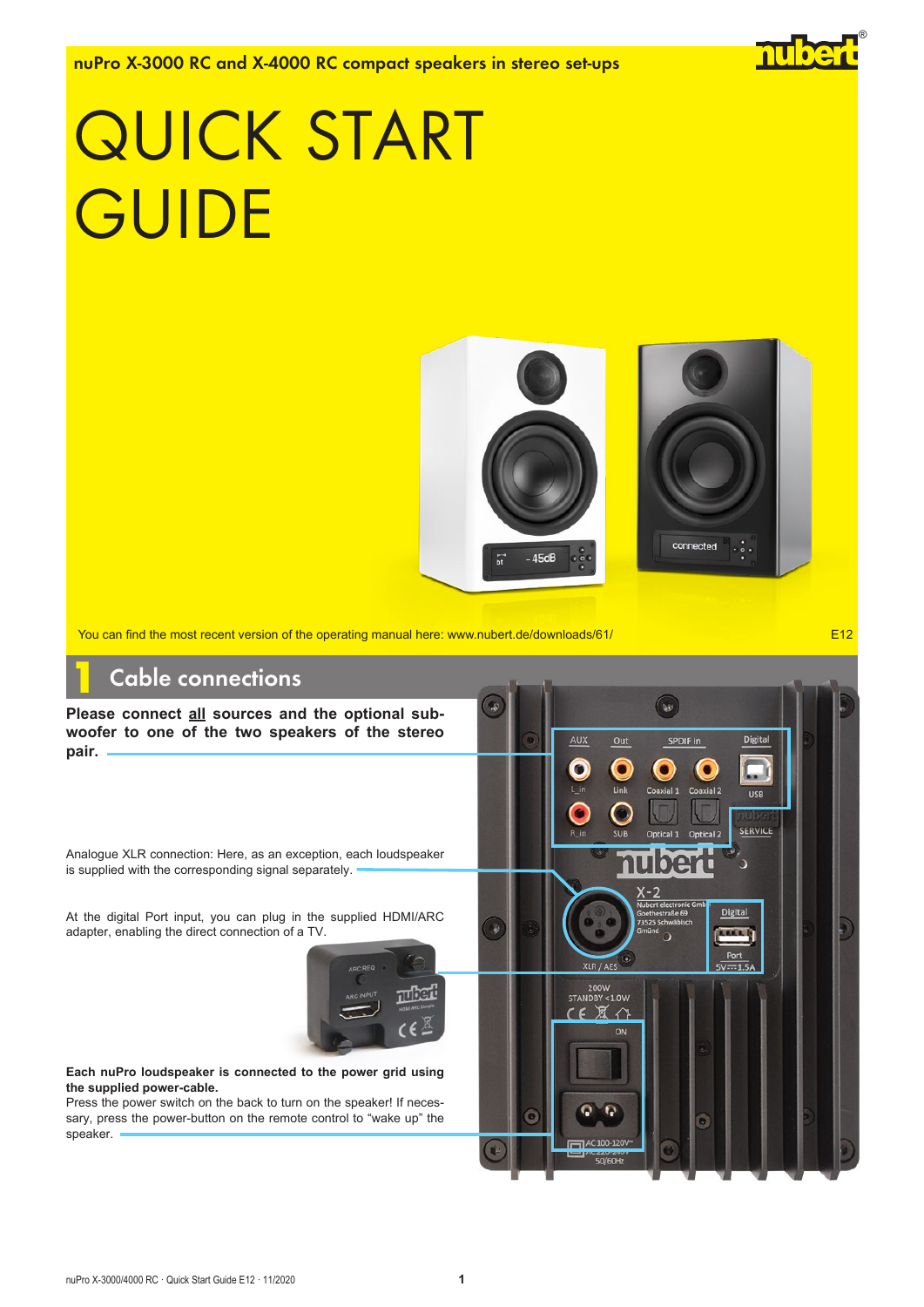nuPro X-3000 RC and X-4000 RC compact speakers in stereo set-ups

# QUICK START **GUIDE**



 $\sqrt{2}$ 

 $\bullet$ 

Ontical 1

 $\bullet$ 

Link

**XLR / AFS** 200W<br>STANDBY < 1.0W  $X \curvearrowleft$ 

FED AC 100-120

ON

 $\epsilon$ 

C

SPDIF in

 $\bullet$ 

Coaxial 2

Ontical 2

Ō

Digital

USB

**SERVICE** 

**Digital** 

You can find the most recent version of the operating manual here: www.nubert.de/downloads/61/ **E12** 

# Cable connections

**Please connect all sources and the optional subwoofer to one of the two speakers of the stereo pair.**

Analogue XLR connection: Here, as an exception, each loudspeaker is supplied with the corresponding signal separately.

At the digital Port input, you can plug in the supplied HDMI/ARC adapter, enabling the direct connection of a TV.



#### **Each nuPro loudspeaker is connected to the power grid using the supplied power-cable.**

Press the power switch on the back to turn on the speaker! If necessary, press the power-button on the remote control to "wake up" the speaker.

®

nube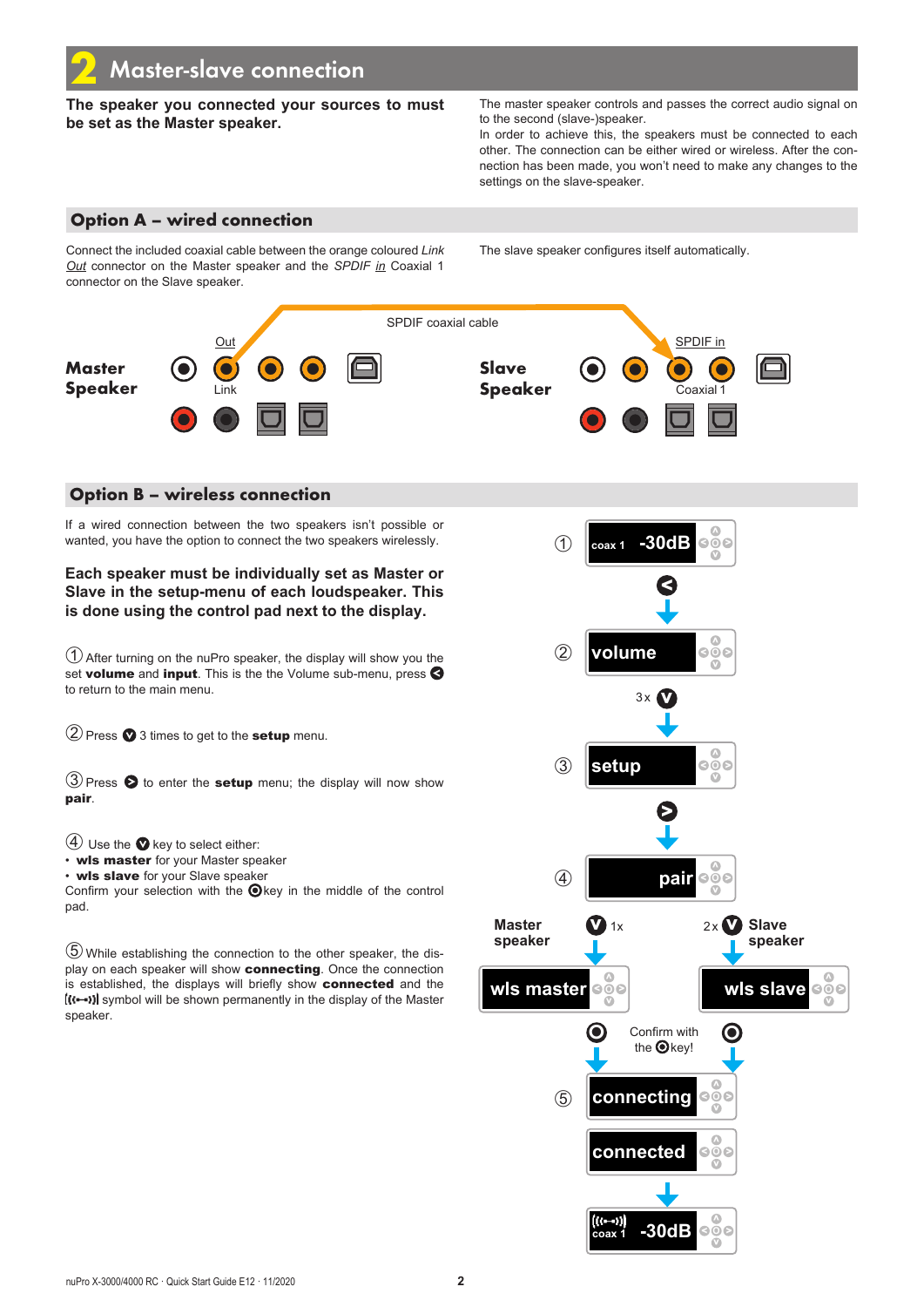**The speaker you connected your sources to must be set as the Master speaker.**

The master speaker controls and passes the correct audio signal on to the second (slave-)speaker.

In order to achieve this, the speakers must be connected to each other. The connection can be either wired or wireless. After the connection has been made, you won't need to make any changes to the settings on the slave-speaker.

### Option A – wired connection

Connect the included coaxial cable between the orange coloured *Link Out* connector on the Master speaker and the *SPDIF in* Coaxial 1 connector on the Slave speaker.

The slave speaker configures itself automatically.



### Option B – wireless connection

If a wired connection between the two speakers isn't possible or wanted, you have the option to connect the two speakers wirelessly.

**Each speaker must be individually set as Master or Slave in the setup-menu of each loudspeaker. This is done using the control pad next to the display.**

➀After turning on the nuPro speaker, the display will show you the set volume and input. This is the the Volume sub-menu, press  $\bigotimes$ to return to the main menu.

 $(2)$  Press  $\bullet$  3 times to get to the **setup** menu.

 $\textcircled{3}$  Press  $\textcircled{5}$  to enter the setup menu; the display will now show pair.

 $(4)$  Use the  $\bullet$  key to select either:

• wls master for your Master speaker

• wls slave for your Slave speaker

Confirm your selection with the  $\bigcirc$  key in the middle of the control pad.

➄ While establishing the connection to the other speaker, the display on each speaker will show connecting. Once the connection is established, the displays will briefly show connected and the  $\left(\left(\left(-\right)\right)\right)$  symbol will be shown permanently in the display of the Master speaker.

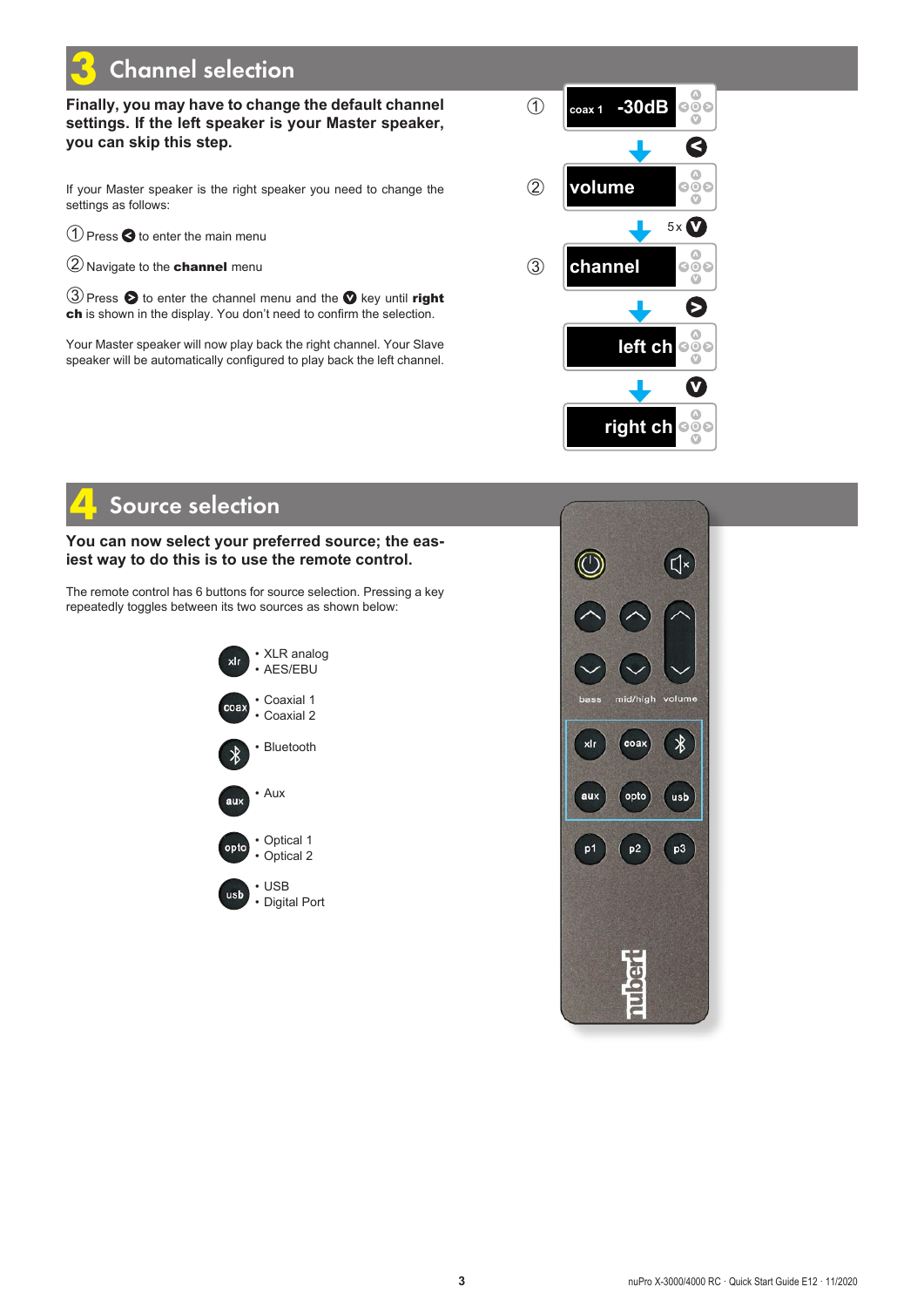# **Channel selection**

### **Finally, you may have to change the default channel settings. If the left speaker is your Master speaker, you can skip this step.**

If your Master speaker is the right speaker you need to change the settings as follows:

 $\bigcirc$  Press  $\bigcirc$  to enter the main menu

➁Navigate to the channel menu

③ Press ● to enter the channel menu and the ● key until right ch is shown in the display. You don't need to confirm the selection.

Your Master speaker will now play back the right channel. Your Slave speaker will be automatically configured to play back the left channel.



# Source selection

### **You can now select your preferred source; the easiest way to do this is to use the remote control.**

The remote control has 6 buttons for source selection. Pressing a key repeatedly toggles between its two sources as shown below: